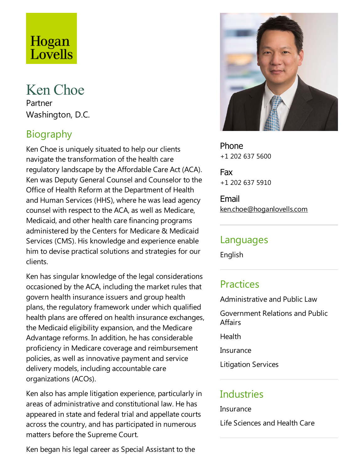# Hogan Lovells

## Ken Choe

Partner Washington, D.C.

## Biography

Ken Choe is uniquely situated to help our clients navigate the transformation of the health care regulatory landscape by the Affordable Care Act (ACA). Ken was Deputy General Counsel and Counselor to the Office of Health Reform at the Department of Health and Human Services (HHS), where he was lead agency counsel with respect to the ACA, as well as Medicare, Medicaid, and other health care financing programs administered by the Centers for Medicare & Medicaid Services (CMS). His knowledge and experience enable him to devise practical solutions and strategies for our clients.

Ken has singular knowledge of the legal considerations occasioned by the ACA, including the market rules that govern health insurance issuers and group health plans, the regulatory framework under which qualified health plans are offered on health insurance exchanges, the Medicaid eligibility expansion, and the Medicare Advantage reforms. In addition, he has considerable proficiency in Medicare coverage and reimbursement policies, as well as innovative payment and service delivery models, including accountable care organizations (ACOs).

Ken also has ample litigation experience, particularly in areas of administrative and constitutional law. He has appeared in state and federal trial and appellate courts across the country, and has participated in numerous matters before the Supreme Court.

Ken began his legal career as Special Assistant to the



Phone +1 202 637 5600

Fax +1 202 637 5910

Email ken.choe@hoganlovells.com

#### Languages

English

#### **Practices**

Administrative and Public Law

Government Relations and Public **Affairs** 

**Health** 

**Insurance** 

Litigation Services

#### **Industries**

**Insurance** 

Life Sciences and Health Care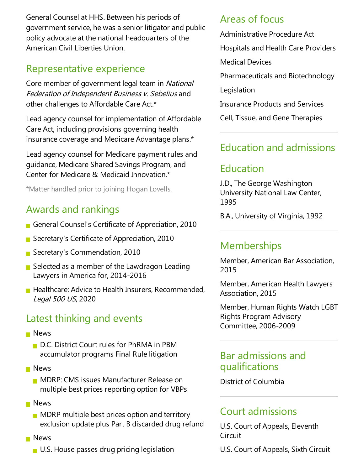General Counsel at HHS. Between his periods of government service, he was asenior litigator and public policy advocate at the national headquarters of the American Civil Liberties Union.

#### Representative experience

Core member of government legal team in National Federation of Independent Business v. Sebelius and other challenges to Affordable Care Act.\*

Lead agency counsel for implementation of Affordable Care Act, including provisions governing health insurance coverage and Medicare Advantage plans.\*

Lead agency counsel for Medicare payment rules and guidance, Medicare Shared Savings Program, and Center for Medicare & Medicaid Innovation.\*

\*Matter handled prior to joining Hogan Lovells.

#### Awards and rankings

- General Counsel's Certificate of Appreciation, 2010
- Secretary's Certificate of Appreciation, 2010
- Secretary's Commendation, 2010
- $\blacksquare$  Selected as a member of the Lawdragon Leading Lawyers in America for, 2014-2016
- $\blacksquare$  Healthcare: Advice to Health Insurers, Recommended, Legal <sup>500</sup> US, 2020

## Latest thinking and events

- **News** 
	- D.C. District Court rules for PhRMA in PBM accumulator programs Final Rule litigation
- **News** 
	- **MDRP: CMS issues Manufacturer Release on** multiple best prices reporting option for VBPs
- **News** 
	- $\blacksquare$  MDRP multiple best prices option and territory exclusion update plus Part B discarded drug refund
- **News** 
	- U.S. House passes drug pricing legislation

## Areas of focus

Administrative Procedure Act

Hospitals and Health Care Providers

Medical Devices

Pharmaceuticals and Biotechnology

Legislation

Insurance Products and Services

Cell, Tissue, and Gene Therapies

#### Education and admissions

## Education

J.D., The George Washington University National Law Center, 1995

B.A., University of Virginia, 1992

#### Memberships

Member, American Bar Association, 2015

Member, American Health Lawyers Association, 2015

Member, Human Rights Watch LGBT Rights Program Advisory Committee, 2006-2009

#### Bar admissions and qualifications

District of Columbia

#### Court admissions

U.S. Court of Appeals, Eleventh **Circuit** 

U.S. Court of Appeals, Sixth Circuit